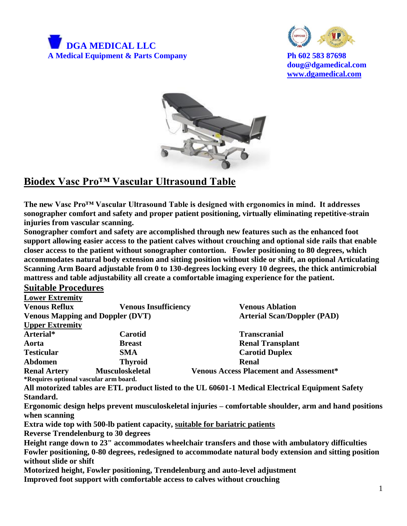



**doug@dgamedical.com [www.dgamedical.com](http://www.dgamedical.com/)**



## **Biodex Vasc Pro™ Vascular Ultrasound Table**

**The new Vasc Pro™ Vascular Ultrasound Table is designed with ergonomics in mind. It addresses sonographer comfort and safety and proper patient positioning, virtually eliminating repetitive-strain injuries from vascular scanning.** 

**Sonographer comfort and safety are accomplished through new features such as the enhanced foot support allowing easier access to the patient calves without crouching and optional side rails that enable closer access to the patient without sonographer contortion. Fowler positioning to 80 degrees, which accommodates natural body extension and sitting position without slide or shift, an optional Articulating Scanning Arm Board adjustable from 0 to 130-degrees locking every 10 degrees, the thick antimicrobial mattress and table adjustability all create a comfortable imaging experience for the patient.**

## **Suitable Procedures**

| <b>Lower Extremity</b>                  |                             |                                                                                                   |
|-----------------------------------------|-----------------------------|---------------------------------------------------------------------------------------------------|
| <b>Venous Reflux</b>                    | <b>Venous Insufficiency</b> | <b>Venous Ablation</b>                                                                            |
| <b>Venous Mapping and Doppler (DVT)</b> |                             | <b>Arterial Scan/Doppler (PAD)</b>                                                                |
| <b>Upper Extremity</b>                  |                             |                                                                                                   |
| Arterial*                               | Carotid                     | <b>Transcranial</b>                                                                               |
| Aorta                                   | <b>Breast</b>               | <b>Renal Transplant</b>                                                                           |
| <b>Testicular</b>                       | <b>SMA</b>                  | <b>Carotid Duplex</b>                                                                             |
| <b>Abdomen</b>                          | <b>Thyroid</b>              | <b>Renal</b>                                                                                      |
| <b>Renal Artery</b>                     | <b>Musculoskeletal</b>      | <b>Venous Access Placement and Assessment*</b>                                                    |
| *Requires optional vascular arm board.  |                             |                                                                                                   |
|                                         |                             | All motorized tables are ETL product listed to the UL 60601-1 Medical Electrical Equipment Safety |

**Standard.** 

**Ergonomic design helps prevent musculoskeletal injuries – comfortable shoulder, arm and hand positions when scanning**

**Extra wide top with 500-lb patient capacity, suitable for bariatric patients**

**Reverse Trendelenburg to 30 degrees**

**Height range down to 23" accommodates wheelchair transfers and those with ambulatory difficulties Fowler positioning, 0-80 degrees, redesigned to accommodate natural body extension and sitting position without slide or shift**

**Motorized height, Fowler positioning, Trendelenburg and auto-level adjustment Improved foot support with comfortable access to calves without crouching**